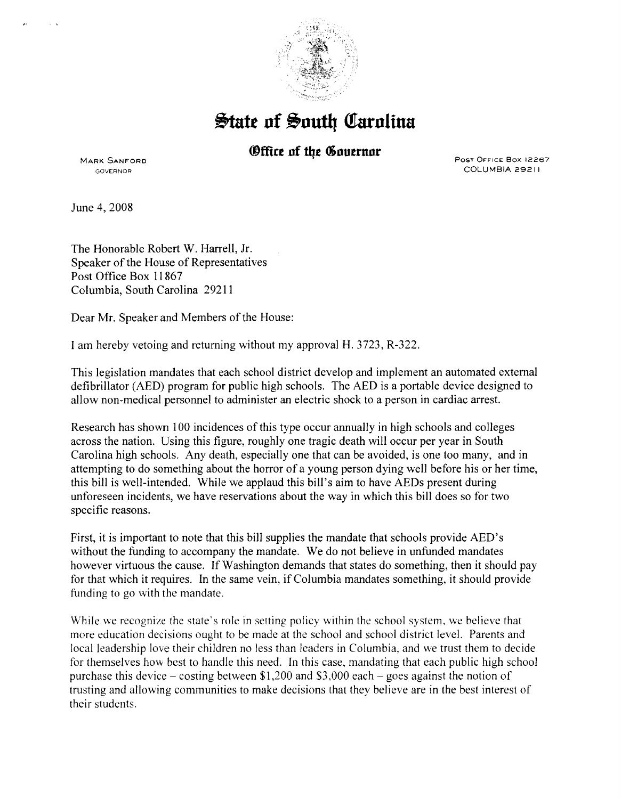

**&tate nf @1nutly C!rarnlina** 

*<u>Office of the Gouernor</u>* 

MARK SANFORD GOVERNOR

Post Office Box 12267 COLUMBIA 29211

June 4, 2008

The Honorable Robert W. Harrell, Jr. Speaker of the House of Representatives Post Office Box 11867 Columbia, South Carolina 29211

Dear Mr. Speaker and Members of the House:

I am hereby vetoing and returning without my approval H. 3723, R-322.

This legislation mandates that each school district develop and implement an automated external defibrillator (AED) program for public high schools. The AED is a portable device designed to allow non-medical personnel to administer an electric shock to a person in cardiac arrest.

Research has shown 100 incidences of this type occur annually in high schools and colleges across the nation. Using this figure, roughly one tragic death will occur per year in South Carolina high schools. Any death, especially one that can be avoided, is one too many, and in attempting to do something about the horror of a young person dying well before his or her time, this bill is well-intended. While we applaud this bill's aim to have AEDs present during unforeseen incidents, we have reservations about the way in which this bill does so for two specific reasons.

First, it is important to note that this bill supplies the mandate that schools provide AED's without the funding to accompany the mandate. We do not believe in unfunded mandates however virtuous the cause. If Washington demands that states do something, then it should pay for that which it requires. In the same vein, if Columbia mandates something, it should provide funding to go with the mandate.

While we recognize the state's role in setting policy within the school system, we believe that more education decisions ought to be made at the school and school district level. Parents and local leadership love their children no less than leaders in Columbia, and we trust them to decide for themselves how best to handle this need. In this case, mandating that each public high school purchase this device – costing between \$1,200 and \$3,000 each – goes against the notion of trusting and allowing communities to make decisions that they believe are in the best interest of their students.